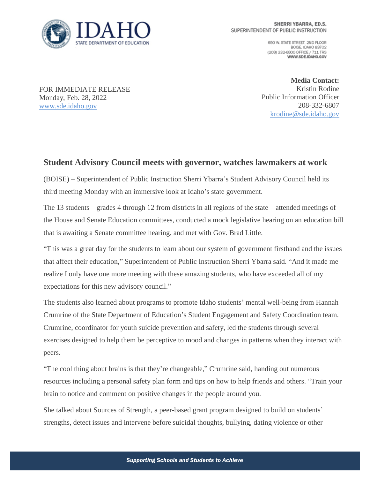

650 W. STATE STREET, 2ND FLOOR BOISE IDAHO 83702 (208) 332-6800 OFFICE / 711 TRS WWW.SDE.IDAHO.GOV

FOR IMMEDIATE RELEASE Monday, Feb. 28, 2022 [www.sde.idaho.gov](http://www.sde.idaho.gov/)

**Media Contact:** Kristin Rodine Public Information Officer 208-332-6807 [krodine@sde.idaho.gov](mailto:krodine@sde.idaho.gov)

## **Student Advisory Council meets with governor, watches lawmakers at work**

(BOISE) – Superintendent of Public Instruction Sherri Ybarra's Student Advisory Council held its third meeting Monday with an immersive look at Idaho's state government.

The 13 students – grades 4 through 12 from districts in all regions of the state – attended meetings of the House and Senate Education committees, conducted a mock legislative hearing on an education bill that is awaiting a Senate committee hearing, and met with Gov. Brad Little.

"This was a great day for the students to learn about our system of government firsthand and the issues that affect their education," Superintendent of Public Instruction Sherri Ybarra said. "And it made me realize I only have one more meeting with these amazing students, who have exceeded all of my expectations for this new advisory council."

The students also learned about programs to promote Idaho students' mental well-being from Hannah Crumrine of the State Department of Education's Student Engagement and Safety Coordination team. Crumrine, coordinator for youth suicide prevention and safety, led the students through several exercises designed to help them be perceptive to mood and changes in patterns when they interact with peers.

"The cool thing about brains is that they're changeable," Crumrine said, handing out numerous resources including a personal safety plan form and tips on how to help friends and others. "Train your brain to notice and comment on positive changes in the people around you.

She talked about Sources of Strength, a peer-based grant program designed to build on students' strengths, detect issues and intervene before suicidal thoughts, bullying, dating violence or other